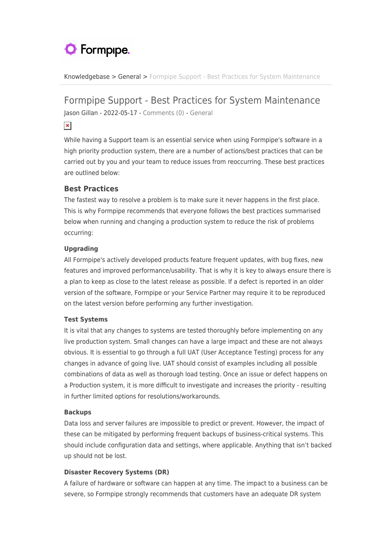# **O** Formpipe.

[Knowledgebase](https://support.formpipe.com/kb) > [General](https://support.formpipe.com/kb/general) > [Formpipe Support - Best Practices for System Maintenance](https://support.formpipe.com/kb/articles/formpipe-support-best-practices-for-system-maintenance)

# Formpipe Support - Best Practices for System Maintenance

Jason Gillan - 2022-05-17 - [Comments \(0\)](#page--1-0) - [General](https://support.formpipe.com/kb/general)

 $\pmb{\times}$ 

While having a Support team is an essential service when using Formpipe's software in a high priority production system, there are a number of actions/best practices that can be carried out by you and your team to reduce issues from reoccurring. These best practices are outlined below:

## **Best Practices**

The fastest way to resolve a problem is to make sure it never happens in the first place. This is why Formpipe recommends that everyone follows the best practices summarised below when running and changing a production system to reduce the risk of problems occurring:

### **Upgrading**

All Formpipe's actively developed products feature frequent updates, with bug fixes, new features and improved performance/usability. That is why it is key to always ensure there is a plan to keep as close to the latest release as possible. If a defect is reported in an older version of the software, Formpipe or your Service Partner may require it to be reproduced on the latest version before performing any further investigation.

#### **Test Systems**

It is vital that any changes to systems are tested thoroughly before implementing on any live production system. Small changes can have a large impact and these are not always obvious. It is essential to go through a full UAT (User Acceptance Testing) process for any changes in advance of going live. UAT should consist of examples including all possible combinations of data as well as thorough load testing. Once an issue or defect happens on a Production system, it is more difficult to investigate and increases the priority - resulting in further limited options for resolutions/workarounds.

#### **Backups**

Data loss and server failures are impossible to predict or prevent. However, the impact of these can be mitigated by performing frequent backups of business-critical systems. This should include configuration data and settings, where applicable. Anything that isn't backed up should not be lost.

#### **Disaster Recovery Systems (DR)**

A failure of hardware or software can happen at any time. The impact to a business can be severe, so Formpipe strongly recommends that customers have an adequate DR system